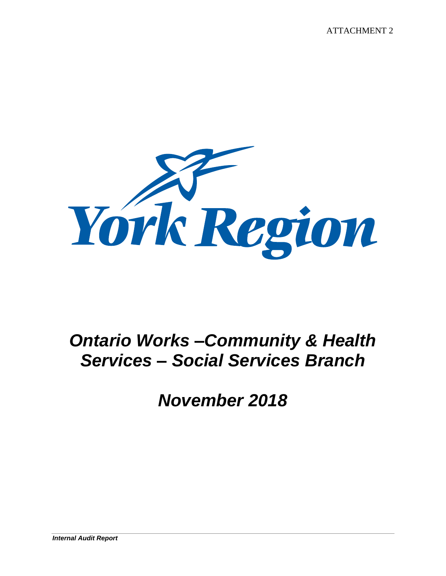ATTACHMENT 2



# *Ontario Works –Community & Health Services – Social Services Branch*

*November 2018*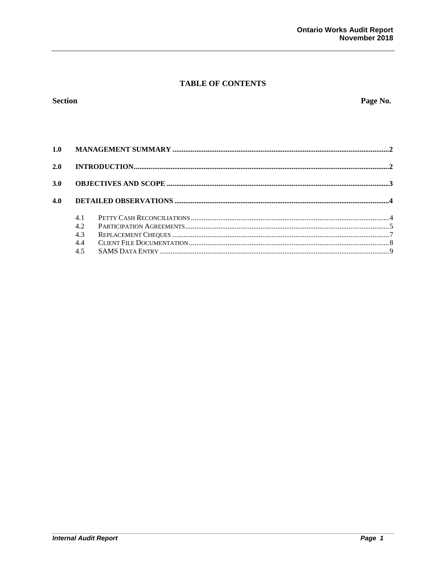### **TABLE OF CONTENTS**

### **Section**

Page No.

| 2.0 |     |  |  |  |
|-----|-----|--|--|--|
| 3.0 |     |  |  |  |
| 4.0 |     |  |  |  |
|     | 4.1 |  |  |  |
|     | 4.2 |  |  |  |
|     | 4.3 |  |  |  |
|     | 4.4 |  |  |  |
|     | 4.5 |  |  |  |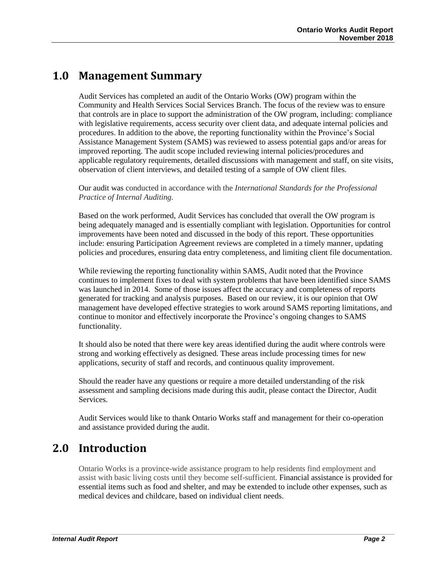# <span id="page-2-0"></span>**1.0 Management Summary**

Audit Services has completed an audit of the Ontario Works (OW) program within the Community and Health Services Social Services Branch. The focus of the review was to ensure that controls are in place to support the administration of the OW program, including: compliance with legislative requirements, access security over client data, and adequate internal policies and procedures. In addition to the above, the reporting functionality within the Province's Social Assistance Management System (SAMS) was reviewed to assess potential gaps and/or areas for improved reporting. The audit scope included reviewing internal policies/procedures and applicable regulatory requirements, detailed discussions with management and staff, on site visits, observation of client interviews, and detailed testing of a sample of OW client files.

Our audit was conducted in accordance with the *International Standards for the Professional Practice of Internal Auditing.*

Based on the work performed, Audit Services has concluded that overall the OW program is being adequately managed and is essentially compliant with legislation. Opportunities for control improvements have been noted and discussed in the body of this report. These opportunities include: ensuring Participation Agreement reviews are completed in a timely manner, updating policies and procedures, ensuring data entry completeness, and limiting client file documentation.

While reviewing the reporting functionality within SAMS, Audit noted that the Province continues to implement fixes to deal with system problems that have been identified since SAMS was launched in 2014. Some of those issues affect the accuracy and completeness of reports generated for tracking and analysis purposes. Based on our review, it is our opinion that OW management have developed effective strategies to work around SAMS reporting limitations, and continue to monitor and effectively incorporate the Province's ongoing changes to SAMS functionality.

It should also be noted that there were key areas identified during the audit where controls were strong and working effectively as designed. These areas include processing times for new applications, security of staff and records, and continuous quality improvement.

Should the reader have any questions or require a more detailed understanding of the risk assessment and sampling decisions made during this audit, please contact the Director, Audit Services.

Audit Services would like to thank Ontario Works staff and management for their co-operation and assistance provided during the audit.

# <span id="page-2-1"></span>**2.0 Introduction**

Ontario Works is a province-wide assistance program to help residents find employment and assist with basic living costs until they become self-sufficient. Financial assistance is provided for essential items such as food and shelter, and may be extended to include other expenses, such as medical devices and childcare, based on individual client needs.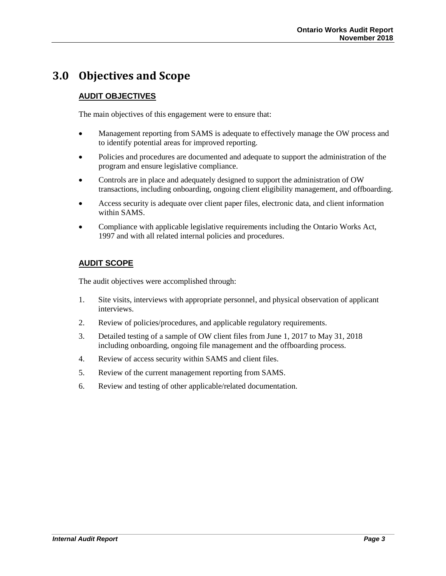# <span id="page-3-0"></span>**3.0 Objectives and Scope**

### **AUDIT OBJECTIVES**

The main objectives of this engagement were to ensure that:

- Management reporting from SAMS is adequate to effectively manage the OW process and to identify potential areas for improved reporting.
- Policies and procedures are documented and adequate to support the administration of the program and ensure legislative compliance.
- Controls are in place and adequately designed to support the administration of OW transactions, including onboarding, ongoing client eligibility management, and offboarding.
- Access security is adequate over client paper files, electronic data, and client information within SAMS.
- Compliance with applicable legislative requirements including the Ontario Works Act, 1997 and with all related internal policies and procedures.

### **AUDIT SCOPE**

The audit objectives were accomplished through:

- 1. Site visits, interviews with appropriate personnel, and physical observation of applicant interviews.
- 2. Review of policies/procedures, and applicable regulatory requirements.
- 3. Detailed testing of a sample of OW client files from June 1, 2017 to May 31, 2018 including onboarding, ongoing file management and the offboarding process.
- 4. Review of access security within SAMS and client files.
- 5. Review of the current management reporting from SAMS.
- 6. Review and testing of other applicable/related documentation.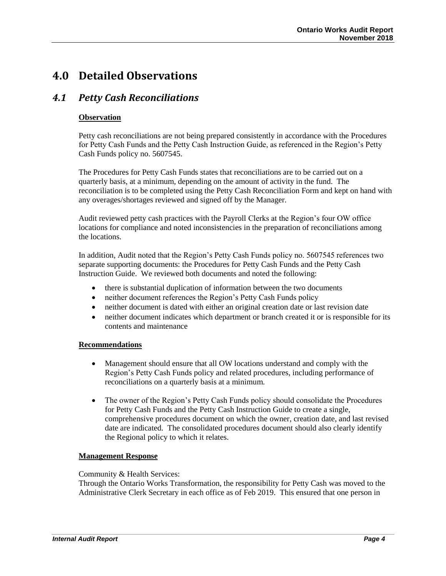# <span id="page-4-0"></span>**4.0 Detailed Observations**

## <span id="page-4-1"></span>*4.1 Petty Cash Reconciliations*

### **Observation**

Petty cash reconciliations are not being prepared consistently in accordance with the Procedures for Petty Cash Funds and the Petty Cash Instruction Guide, as referenced in the Region's Petty Cash Funds policy no. 5607545.

The Procedures for Petty Cash Funds states that reconciliations are to be carried out on a quarterly basis, at a minimum, depending on the amount of activity in the fund. The reconciliation is to be completed using the Petty Cash Reconciliation Form and kept on hand with any overages/shortages reviewed and signed off by the Manager.

Audit reviewed petty cash practices with the Payroll Clerks at the Region's four OW office locations for compliance and noted inconsistencies in the preparation of reconciliations among the locations.

In addition, Audit noted that the Region's Petty Cash Funds policy no. 5607545 references two separate supporting documents: the Procedures for Petty Cash Funds and the Petty Cash Instruction Guide. We reviewed both documents and noted the following:

- there is substantial duplication of information between the two documents
- neither document references the Region's Petty Cash Funds policy
- neither document is dated with either an original creation date or last revision date
- neither document indicates which department or branch created it or is responsible for its contents and maintenance

#### **Recommendations**

- Management should ensure that all OW locations understand and comply with the Region's Petty Cash Funds policy and related procedures, including performance of reconciliations on a quarterly basis at a minimum.
- The owner of the Region's Petty Cash Funds policy should consolidate the Procedures for Petty Cash Funds and the Petty Cash Instruction Guide to create a single, comprehensive procedures document on which the owner, creation date, and last revised date are indicated. The consolidated procedures document should also clearly identify the Regional policy to which it relates.

#### **Management Response**

Community & Health Services:

Through the Ontario Works Transformation, the responsibility for Petty Cash was moved to the Administrative Clerk Secretary in each office as of Feb 2019. This ensured that one person in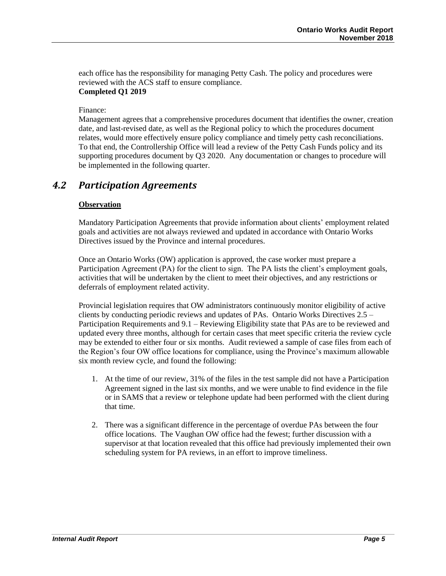each office has the responsibility for managing Petty Cash. The policy and procedures were reviewed with the ACS staff to ensure compliance. **Completed Q1 2019**

Finance:

Management agrees that a comprehensive procedures document that identifies the owner, creation date, and last-revised date, as well as the Regional policy to which the procedures document relates, would more effectively ensure policy compliance and timely petty cash reconciliations. To that end, the Controllership Office will lead a review of the Petty Cash Funds policy and its supporting procedures document by Q3 2020. Any documentation or changes to procedure will be implemented in the following quarter.

### <span id="page-5-0"></span>*4.2 Participation Agreements*

#### **Observation**

Mandatory Participation Agreements that provide information about clients' employment related goals and activities are not always reviewed and updated in accordance with Ontario Works Directives issued by the Province and internal procedures.

Once an Ontario Works (OW) application is approved, the case worker must prepare a Participation Agreement (PA) for the client to sign. The PA lists the client's employment goals, activities that will be undertaken by the client to meet their objectives, and any restrictions or deferrals of employment related activity.

Provincial legislation requires that OW administrators continuously monitor eligibility of active clients by conducting periodic reviews and updates of PAs. Ontario Works Directives 2.5 – Participation Requirements and 9.1 – Reviewing Eligibility state that PAs are to be reviewed and updated every three months, although for certain cases that meet specific criteria the review cycle may be extended to either four or six months. Audit reviewed a sample of case files from each of the Region's four OW office locations for compliance, using the Province's maximum allowable six month review cycle, and found the following:

- 1. At the time of our review, 31% of the files in the test sample did not have a Participation Agreement signed in the last six months, and we were unable to find evidence in the file or in SAMS that a review or telephone update had been performed with the client during that time.
- 2. There was a significant difference in the percentage of overdue PAs between the four office locations. The Vaughan OW office had the fewest; further discussion with a supervisor at that location revealed that this office had previously implemented their own scheduling system for PA reviews, in an effort to improve timeliness.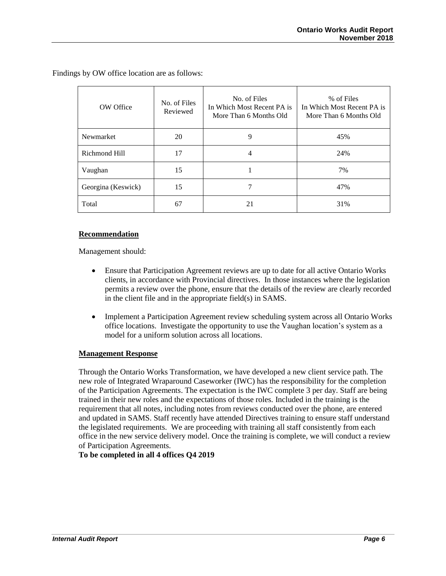| OW Office          | No. of Files<br>Reviewed | No. of Files<br>In Which Most Recent PA is<br>More Than 6 Months Old | % of Files<br>In Which Most Recent PA is<br>More Than 6 Months Old |
|--------------------|--------------------------|----------------------------------------------------------------------|--------------------------------------------------------------------|
| Newmarket          | 20                       | 9                                                                    | 45%                                                                |
| Richmond Hill      | 17                       | 4                                                                    | 24%                                                                |
| Vaughan            | 15                       |                                                                      | 7%                                                                 |
| Georgina (Keswick) | 15                       |                                                                      | 47%                                                                |
| Total              | 67                       | 21                                                                   | 31%                                                                |

Findings by OW office location are as follows:

#### **Recommendation**

Management should:

- Ensure that Participation Agreement reviews are up to date for all active Ontario Works clients, in accordance with Provincial directives. In those instances where the legislation permits a review over the phone, ensure that the details of the review are clearly recorded in the client file and in the appropriate field(s) in SAMS.
- Implement a Participation Agreement review scheduling system across all Ontario Works office locations. Investigate the opportunity to use the Vaughan location's system as a model for a uniform solution across all locations.

#### **Management Response**

Through the Ontario Works Transformation, we have developed a new client service path. The new role of Integrated Wraparound Caseworker (IWC) has the responsibility for the completion of the Participation Agreements. The expectation is the IWC complete 3 per day. Staff are being trained in their new roles and the expectations of those roles. Included in the training is the requirement that all notes, including notes from reviews conducted over the phone, are entered and updated in SAMS. Staff recently have attended Directives training to ensure staff understand the legislated requirements. We are proceeding with training all staff consistently from each office in the new service delivery model. Once the training is complete, we will conduct a review of Participation Agreements.

#### **To be completed in all 4 offices Q4 2019**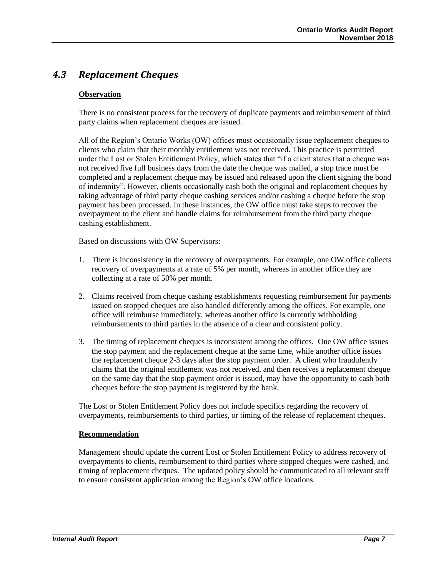# <span id="page-7-0"></span>*4.3 Replacement Cheques*

### **Observation**

There is no consistent process for the recovery of duplicate payments and reimbursement of third party claims when replacement cheques are issued.

All of the Region's Ontario Works (OW) offices must occasionally issue replacement cheques to clients who claim that their monthly entitlement was not received. This practice is permitted under the Lost or Stolen Entitlement Policy, which states that "if a client states that a cheque was not received five full business days from the date the cheque was mailed, a stop trace must be completed and a replacement cheque may be issued and released upon the client signing the bond of indemnity". However, clients occasionally cash both the original and replacement cheques by taking advantage of third party cheque cashing services and/or cashing a cheque before the stop payment has been processed. In these instances, the OW office must take steps to recover the overpayment to the client and handle claims for reimbursement from the third party cheque cashing establishment.

Based on discussions with OW Supervisors:

- 1. There is inconsistency in the recovery of overpayments. For example, one OW office collects recovery of overpayments at a rate of 5% per month, whereas in another office they are collecting at a rate of 50% per month.
- 2. Claims received from cheque cashing establishments requesting reimbursement for payments issued on stopped cheques are also handled differently among the offices. For example, one office will reimburse immediately, whereas another office is currently withholding reimbursements to third parties in the absence of a clear and consistent policy.
- 3. The timing of replacement cheques is inconsistent among the offices. One OW office issues the stop payment and the replacement cheque at the same time, while another office issues the replacement cheque 2-3 days after the stop payment order. A client who fraudulently claims that the original entitlement was not received, and then receives a replacement cheque on the same day that the stop payment order is issued, may have the opportunity to cash both cheques before the stop payment is registered by the bank.

The Lost or Stolen Entitlement Policy does not include specifics regarding the recovery of overpayments, reimbursements to third parties, or timing of the release of replacement cheques.

#### **Recommendation**

Management should update the current Lost or Stolen Entitlement Policy to address recovery of overpayments to clients, reimbursement to third parties where stopped cheques were cashed, and timing of replacement cheques. The updated policy should be communicated to all relevant staff to ensure consistent application among the Region's OW office locations.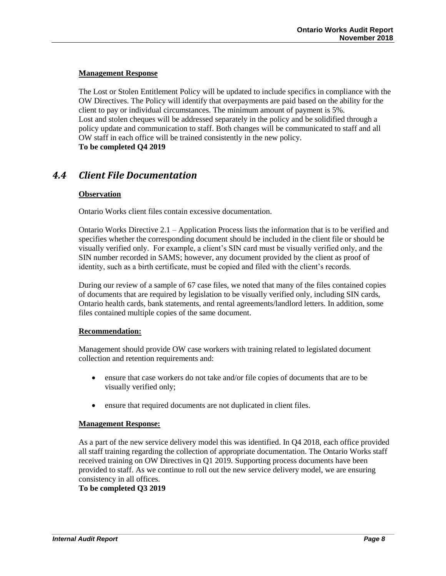#### **Management Response**

The Lost or Stolen Entitlement Policy will be updated to include specifics in compliance with the OW Directives. The Policy will identify that overpayments are paid based on the ability for the client to pay or individual circumstances. The minimum amount of payment is 5%. Lost and stolen cheques will be addressed separately in the policy and be solidified through a policy update and communication to staff. Both changes will be communicated to staff and all OW staff in each office will be trained consistently in the new policy. **To be completed Q4 2019**

### <span id="page-8-0"></span>*4.4 Client File Documentation*

#### **Observation**

Ontario Works client files contain excessive documentation.

Ontario Works Directive 2.1 – Application Process lists the information that is to be verified and specifies whether the corresponding document should be included in the client file or should be visually verified only. For example, a client's SIN card must be visually verified only, and the SIN number recorded in SAMS; however, any document provided by the client as proof of identity, such as a birth certificate, must be copied and filed with the client's records.

During our review of a sample of 67 case files, we noted that many of the files contained copies of documents that are required by legislation to be visually verified only, including SIN cards, Ontario health cards, bank statements, and rental agreements/landlord letters. In addition, some files contained multiple copies of the same document.

#### **Recommendation:**

Management should provide OW case workers with training related to legislated document collection and retention requirements and:

- ensure that case workers do not take and/or file copies of documents that are to be visually verified only;
- ensure that required documents are not duplicated in client files.

#### **Management Response:**

As a part of the new service delivery model this was identified. In Q4 2018, each office provided all staff training regarding the collection of appropriate documentation. The Ontario Works staff received training on OW Directives in Q1 2019. Supporting process documents have been provided to staff. As we continue to roll out the new service delivery model, we are ensuring consistency in all offices.

**To be completed Q3 2019**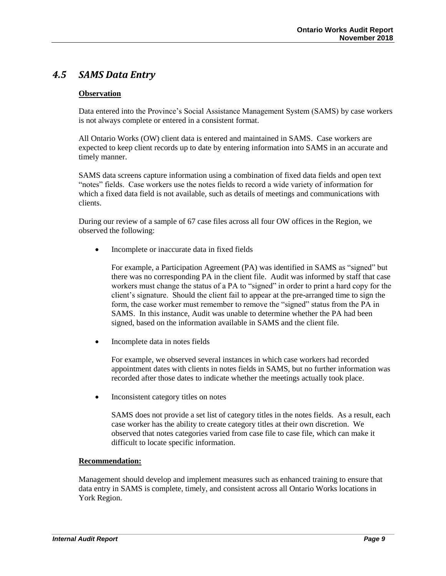# <span id="page-9-0"></span>*4.5 SAMS Data Entry*

### **Observation**

Data entered into the Province's Social Assistance Management System (SAMS) by case workers is not always complete or entered in a consistent format.

All Ontario Works (OW) client data is entered and maintained in SAMS. Case workers are expected to keep client records up to date by entering information into SAMS in an accurate and timely manner.

SAMS data screens capture information using a combination of fixed data fields and open text "notes" fields. Case workers use the notes fields to record a wide variety of information for which a fixed data field is not available, such as details of meetings and communications with clients.

During our review of a sample of 67 case files across all four OW offices in the Region, we observed the following:

Incomplete or inaccurate data in fixed fields

For example, a Participation Agreement (PA) was identified in SAMS as "signed" but there was no corresponding PA in the client file. Audit was informed by staff that case workers must change the status of a PA to "signed" in order to print a hard copy for the client's signature. Should the client fail to appear at the pre-arranged time to sign the form, the case worker must remember to remove the "signed" status from the PA in SAMS. In this instance, Audit was unable to determine whether the PA had been signed, based on the information available in SAMS and the client file.

• Incomplete data in notes fields

For example, we observed several instances in which case workers had recorded appointment dates with clients in notes fields in SAMS, but no further information was recorded after those dates to indicate whether the meetings actually took place.

• Inconsistent category titles on notes

SAMS does not provide a set list of category titles in the notes fields. As a result, each case worker has the ability to create category titles at their own discretion. We observed that notes categories varied from case file to case file, which can make it difficult to locate specific information.

#### **Recommendation:**

Management should develop and implement measures such as enhanced training to ensure that data entry in SAMS is complete, timely, and consistent across all Ontario Works locations in York Region.